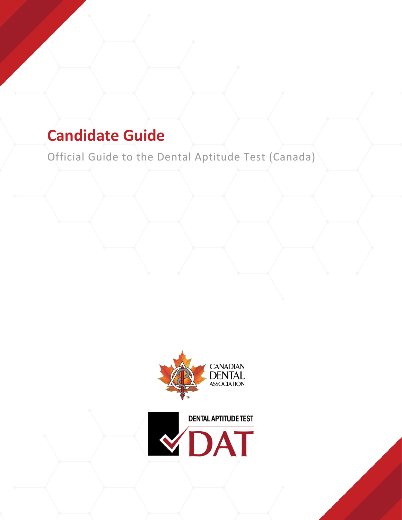# **Candidate Guide**

Official Guide to the Dental Aptitude Test (Canada)



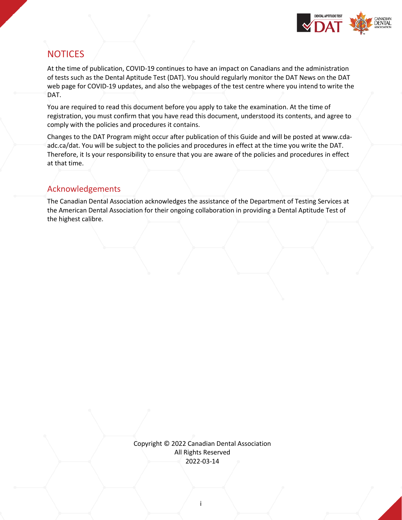

# <span id="page-1-0"></span>**NOTICES**

At the time of publication, COVID-19 continues to have an impact on Canadians and the administration of tests such as the Dental Aptitude Test (DAT). You should regularly monitor the DAT News on the DAT web page for COVID-19 updates, and also the webpages of the test centre where you intend to write the DAT.

You are required to read this document before you apply to take the examination. At the time of registration, you must confirm that you have read this document, understood its contents, and agree to comply with the policies and procedures it contains.

Changes to the DAT Program might occur after publication of this Guide and will be posted at [www.cda](http://www.ada.org/dat)[adc.ca/dat.](http://www.ada.org/dat) You will be subject to the policies and procedures in effect at the time you write the DAT. Therefore, it Is your responsibility to ensure that you are aware of the policies and procedures in effect at that time.

# Acknowledgements

The Canadian Dental Association acknowledges the assistance of the Department of Testing Services at the American Dental Association for their ongoing collaboration in providing a Dental Aptitude Test of the highest calibre.

> Copyright © 2022 Canadian Dental Association All Rights Reserved 2022-03-14

> > i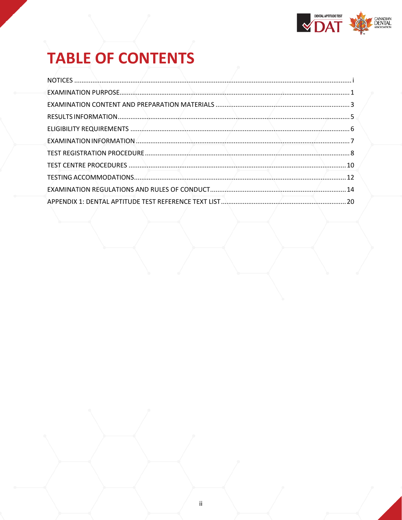

# **TABLE OF CONTENTS**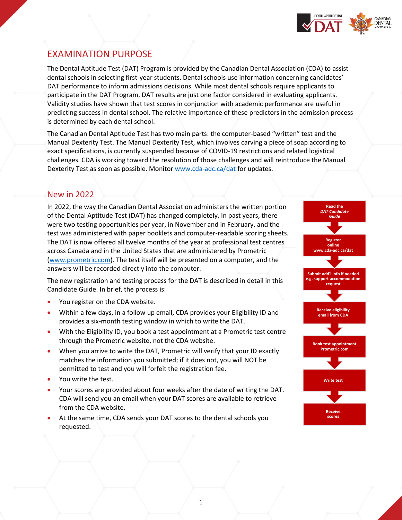

# <span id="page-3-0"></span>EXAMINATION PURPOSE

The Dental Aptitude Test (DAT) Program is provided by the Canadian Dental Association (CDA) to assist dental schools in selecting first-year students. Dental schools use information concerning candidates' DAT performance to inform admissions decisions. While most dental schools require applicants to participate in the DAT Program, DAT results are just one factor considered in evaluating applicants. Validity studies have shown that test scores in conjunction with academic performance are useful in predicting success in dental school. The relative importance of these predictors in the admission process is determined by each dental school.

The Canadian Dental Aptitude Test has two main parts: the computer-based "written" test and the Manual Dexterity Test. The Manual Dexterity Test, which involves carving a piece of soap according to exact specifications, is currently suspended because of COVID-19 restrictions and related logistical challenges. CDA is working toward the resolution of those challenges and will reintroduce the Manual Dexterity Test as soon as possible. Monitor [www.cda-adc.ca/dat](http://www.cda-adc.ca/dat) for updates.

# New in 2022

In 2022, the way the Canadian Dental Association administers the written portion of the Dental Aptitude Test (DAT) has changed completely. In past years, there were two testing opportunities per year, in November and in February, and the test was administered with paper booklets and computer-readable scoring sheets. The DAT is now offered all twelve months of the year at professional test centres across Canada and in the United States that are administered by Prometric [\(www.prometric.com\)](http://www.prometric.com/). The test itself will be presented on a computer, and the answers will be recorded directly into the computer.

The new registration and testing process for the DAT is described in detail in this Candidate Guide. In brief, the process is:

- You register on the CDA website.
- Within a few days, in a follow up email, CDA provides your Eligibility ID and provides a six-month testing window in which to write the DAT.
- With the Eligibility ID, you book a test appointment at a Prometric test centre through the Prometric website, not the CDA website.
- When you arrive to write the DAT, Prometric will verify that your ID exactly matches the information you submitted; if it does not, you will NOT be permitted to test and you will forfeit the registration fee.
- You write the test.
- Your scores are provided about four weeks after the date of writing the DAT. CDA will send you an email when your DAT scores are available to retrieve from the CDA website.
- At the same time, CDA sends your DAT scores to the dental schools you requested.

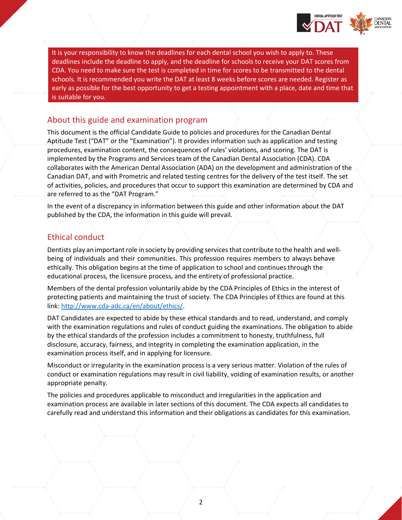

It is your responsibility to know the deadlines for each dental school you wish to apply to. These deadlines include the deadline to apply, and the deadline for schools to receive your DAT scores from CDA. You need to make sure the test is completed in time for scores to be transmitted to the dental schools. It is recommended you write the DAT at least 8 weeks before scores are needed. Register as early as possible for the best opportunity to get a testing appointment with a place, date and time that is suitable for you.

#### About this guide and examination program

This document is the official Candidate Guide to policies and procedures for the Canadian Dental Aptitude Test ("DAT" or the "Examination"). It provides information such as application and testing procedures, examination content, the consequences of rules' violations, and scoring. The DAT is implemented by the Programs and Services team of the Canadian Dental Association (CDA). CDA collaborates with the American Dental Association (ADA) on the development and administration of the Canadian DAT, and with Prometric and related testing centres for the delivery of the test itself. The set of activities, policies, and procedures that occur to support this examination are determined by CDA and are referred to as the "DAT Program."

In the event of a discrepancy in information between this guide and other information about the DAT published by the CDA, the information in this guide will prevail.

### Ethical conduct

Dentists play an important role in society by providing services that contribute to the health and wellbeing of individuals and their communities. This profession requires members to always behave ethically. This obligation begins at the time of application to school and continues through the educational process, the licensure process, and the entirety of professional practice.

Members of the dental profession voluntarily abide by the CDA Principles of Ethics in the interest of protecting patients and maintaining the trust of society. The CDA Principles of Ethics are found at this link: [http://www.cda-adc.ca/en/about/ethics/.](http://www.cda-adc.ca/en/about/ethics/)

DAT Candidates are expected to abide by these ethical standards and to read, understand, and comply with the examination regulations and rules of conduct guiding the examinations. The obligation to abide by the ethical standards of the profession includes a commitment to honesty, truthfulness, full disclosure, accuracy, fairness, and integrity in completing the examination application, in the examination process itself, and in applying for licensure.

Misconduct or irregularity in the examination process is a very serious matter. Violation of the rules of conduct or examination regulations may result in civil liability, voiding of examination results, or another appropriate penalty.

The policies and procedures applicable to misconduct and irregularities in the application and examination process are available in later sections of this document. The CDA expects all candidates to carefully read and understand this information and their obligations as candidates for this examination.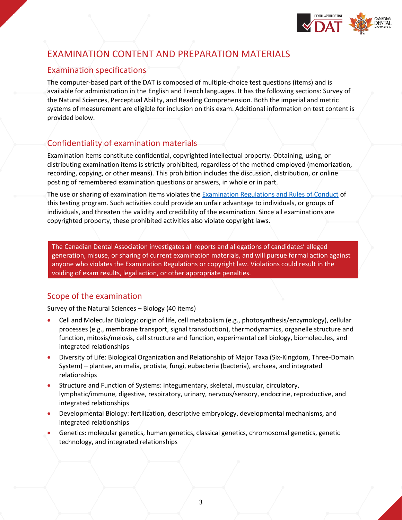

# <span id="page-5-0"></span>EXAMINATION CONTENT AND PREPARATION MATERIALS

# Examination specifications

The computer-based part of the DAT is composed of multiple-choice test questions (items) and is available for administration in the English and French languages. It has the following sections: Survey of the Natural Sciences, Perceptual Ability, and Reading Comprehension. Both the imperial and metric systems of measurement are eligible for inclusion on this exam. Additional information on test content is provided below.

# Confidentiality of examination materials

Examination items constitute confidential, copyrighted intellectual property. Obtaining, using, or distributing examination items is strictly prohibited, regardless of the method employed (memorization, recording, copying, or other means). This prohibition includes the discussion, distribution, or online posting of remembered examination questions or answers, in whole or in part.

The use or sharing of examination items violates the [Examination Regulations and Rules of Conduct](#page-16-0) of this testing program. Such activities could provide an unfair advantage to individuals, or groups of individuals, and threaten the validity and credibility of the examination. Since all examinations are copyrighted property, these prohibited activities also violate copyright laws.

The Canadian Dental Association investigates all reports and allegations of candidates' alleged generation, misuse, or sharing of current examination materials, and will pursue formal action against anyone who violates the Examination Regulations or copyright law. Violations could result in the voiding of exam results, legal action, or other appropriate penalties.

## Scope of the examination

Survey of the Natural Sciences – Biology (40 items)

- Cell and Molecular Biology: origin of life, cell metabolism (e.g., photosynthesis/enzymology), cellular processes (e.g., membrane transport, signal transduction), thermodynamics, organelle structure and function, mitosis/meiosis, cell structure and function, experimental cell biology, biomolecules, and integrated relationships
- Diversity of Life: Biological Organization and Relationship of Major Taxa (Six-Kingdom, Three-Domain System) – plantae, animalia, protista, fungi, eubacteria (bacteria), archaea, and integrated relationships
- Structure and Function of Systems: integumentary, skeletal, muscular, circulatory, lymphatic/immune, digestive, respiratory, urinary, nervous/sensory, endocrine, reproductive, and integrated relationships
- Developmental Biology: fertilization, descriptive embryology, developmental mechanisms, and integrated relationships
- Genetics: molecular genetics, human genetics, classical genetics, chromosomal genetics, genetic technology, and integrated relationships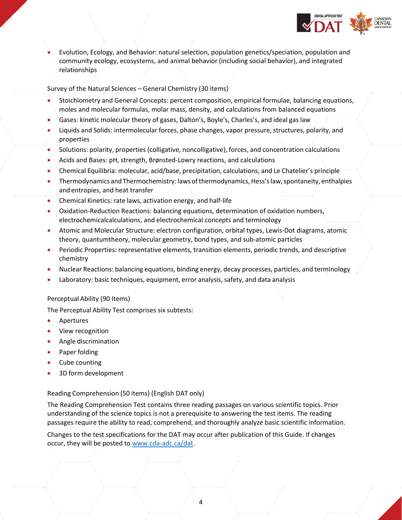

• Evolution, Ecology, and Behavior: natural selection, population genetics/speciation, population and community ecology, ecosystems, and animal behavior (including social behavior), and integrated relationships

Survey of the Natural Sciences – General Chemistry (30 items)

- Stoichiometry and General Concepts: percent composition, empirical formulae, balancing equations, moles and molecular formulas, molar mass, density, and calculations from balanced equations
- Gases: kinetic molecular theory of gases, Dalton's, Boyle's, Charles's, and ideal gas law
- Liquids and Solids: intermolecular forces, phase changes, vapor pressure, structures, polarity, and properties
- Solutions: polarity, properties (colligative, noncolligative), forces, and concentration calculations
- Acids and Bases: pH, strength, Brønsted-Lowry reactions, and calculations
- Chemical Equilibria: molecular, acid/base, precipitation, calculations, and Le Chatelier's principle
- Thermodynamics and Thermochemistry: laws of thermodynamics, Hess's law, spontaneity, enthalpies and entropies, and heat transfer
- Chemical Kinetics: rate laws, activation energy, and half-life
- Oxidation-Reduction Reactions: balancing equations, determination of oxidation numbers, electrochemicalcalculations, and electrochemical concepts and terminology
- Atomic and Molecular Structure: electron configuration, orbital types, Lewis-Dot diagrams, atomic theory, quantumtheory, molecular geometry, bond types, and sub-atomic particles
- Periodic Properties: representative elements, transition elements, periodic trends, and descriptive chemistry
- Nuclear Reactions: balancing equations, binding energy, decay processes, particles, and terminology
- Laboratory: basic techniques, equipment, error analysis, safety, and data analysis

#### Perceptual Ability (90 Items)

The Perceptual Ability Test comprises six subtests:

- **Apertures**
- View recognition
- Angle discrimination
- Paper folding
- Cube counting
- 3D form development

#### Reading Comprehension (50 items) (English DAT only)

The Reading Comprehension Test contains three reading passages on various scientific topics. Prior understanding of the science topics is not a prerequisite to answering the test items. The reading passages require the ability to read, comprehend, and thoroughly analyze basic scientific information.

Changes to the test specifications for the DAT may occur after publication of this Guide. If changes occur, they will be posted to [www.cda-adc.ca/dat.](http://www.cda-adc.ca/dat)

4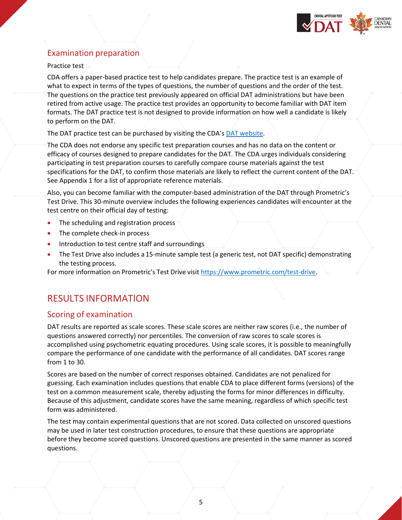

# Examination preparation

#### Practice test

CDA offers a paper-based practice test to help candidates prepare. The practice test is an example of what to expect in terms of the types of questions, the number of questions and the order of the test. The questions on the practice test previously appeared on official DAT administrations but have been retired from active usage. The practice test provides an opportunity to become familiar with DAT item formats. The DAT practice test is not designed to provide information on how well a candidate is likely to perform on the DAT.

The DAT practice test can be purchased by visiting the CDA's [DAT website.](https://www.cda-adc.ca/en/becoming/dat/index.asp)

The CDA does not endorse any specific test preparation courses and has no data on the content or efficacy of courses designed to prepare candidates for the DAT. The CDA urges individuals considering participating in test preparation courses to carefully compare course materials against the test specifications for the DAT, to confirm those materials are likely to reflect the current content of the DAT. See Appendix 1 for a list of appropriate reference materials.

Also, you can become familiar with the computer-based administration of the DAT through Prometric's Test Drive. This 30-minute overview includes the following experiences candidates will encounter at the test centre on their official day of testing:

- The scheduling and registration process
- The complete check-in process
- Introduction to test centre staff and surroundings
- The Test Drive also includes a 15-minute sample test (a generic test, not DAT specific) demonstrating the testing process.

For more information on Prometric's Test Drive visit [https://www.prometric.com/test-drive.](https://www.prometric.com/test-drive)

# <span id="page-7-0"></span>RESULTS INFORMATION

#### Scoring of examination

DAT results are reported as scale scores. These scale scores are neither raw scores (i.e., the number of questions answered correctly) nor percentiles. The conversion of raw scores to scale scores is accomplished using psychometric equating procedures. Using scale scores, it is possible to meaningfully compare the performance of one candidate with the performance of all candidates. DAT scores range from 1 to 30.

Scores are based on the number of correct responses obtained. Candidates are not penalized for guessing. Each examination includes questions that enable CDA to place different forms (versions) of the test on a common measurement scale, thereby adjusting the forms for minor differences in difficulty. Because of this adjustment, candidate scores have the same meaning, regardless of which specific test form was administered.

The test may contain experimental questions that are not scored. Data collected on unscored questions may be used in later test construction procedures, to ensure that these questions are appropriate before they become scored questions. Unscored questions are presented in the same manner as scored questions.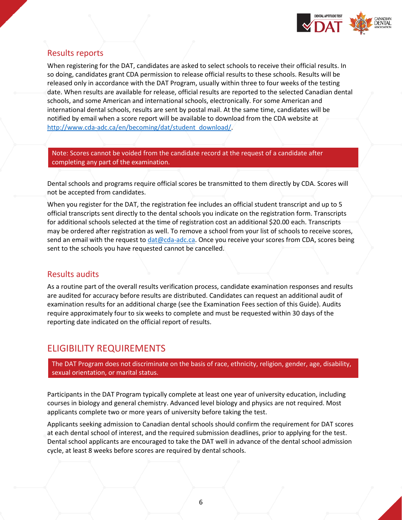

## Results reports

When registering for the DAT, candidates are asked to select schools to receive their official results. In so doing, candidates grant CDA permission to release official results to these schools. Results will be released only in accordance with the DAT Program, usually within three to four weeks of the testing date. When results are available for release, official results are reported to the selected Canadian dental schools, and some American and international schools, electronically. For some American and international dental schools, results are sent by postal mail. At the same time, candidates will be notified by email when a score report will be available to download from the CDA website at [http://www.cda-adc.ca/en/becoming/dat/student\\_download/.](http://www.cda-adc.ca/en/becoming/dat/student_download/)

Note: Scores cannot be voided from the candidate record at the request of a candidate after completing any part of the examination.

Dental schools and programs require official scores be transmitted to them directly by CDA. Scores will not be accepted from candidates.

When you register for the DAT, the registration fee includes an official student transcript and up to 5 official transcripts sent directly to the dental schools you indicate on the registration form. Transcripts for additional schools selected at the time of registration cost an additional \$20.00 each. Transcripts may be ordered after registration as well. To remove a school from your list of schools to receive scores, send an email with the request to [dat@cda-adc.ca.](mailto:dat@cda-adc.ca) Once you receive your scores from CDA, scores being sent to the schools you have requested cannot be cancelled.

#### Results audits

As a routine part of the overall results verification process, candidate examination responses and results are audited for accuracy before results are distributed. Candidates can request an additional audit of examination results for an additional charge (see the Examination Fees section of this Guide). Audits require approximately four to six weeks to complete and must be requested within 30 days of the reporting date indicated on the official report of results.

# <span id="page-8-0"></span>ELIGIBILITY REQUIREMENTS

The DAT Program does not discriminate on the basis of race, ethnicity, religion, gender, age, disability, sexual orientation, or marital status.

Participants in the DAT Program typically complete at least one year of university education, including courses in biology and general chemistry. Advanced level biology and physics are not required. Most applicants complete two or more years of university before taking the test.

Applicants seeking admission to Canadian dental schools should confirm the requirement for DAT scores at each dental school of interest, and the required submission deadlines, prior to applying for the test. Dental school applicants are encouraged to take the DAT well in advance of the dental school admission cycle, at least 8 weeks before scores are required by dental schools.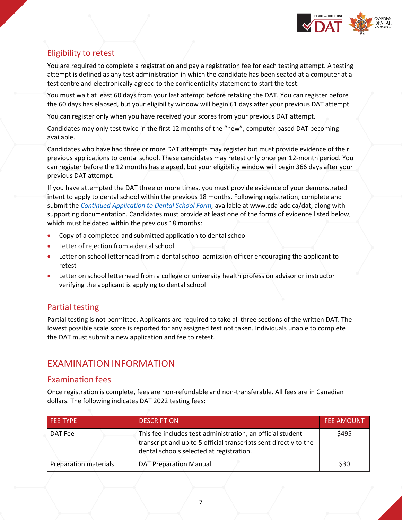

# Eligibility to retest

You are required to complete a registration and pay a registration fee for each testing attempt. A testing attempt is defined as any test administration in which the candidate has been seated at a computer at a test centre and electronically agreed to the confidentiality statement to start the test.

You must wait at least 60 days from your last attempt before retaking the DAT. You can register before the 60 days has elapsed, but your eligibility window will begin 61 days after your previous DAT attempt.

You can register only when you have received your scores from your previous DAT attempt.

Candidates may only test twice in the first 12 months of the "new", computer-based DAT becoming available.

Candidates who have had three or more DAT attempts may register but must provide evidence of their previous applications to dental school. These candidates may retest only once per 12-month period. You can register before the 12 months has elapsed, but your eligibility window will begin 366 days after your previous DAT attempt.

If you have attempted the DAT three or more times, you must provide evidence of your demonstrated intent to apply to dental school within the previous 18 months. Following registration, complete and submit the *[Continued Application to Dental School Form,](https://www.cda-adc.ca/_files/becoming/dat/continued_application_form/DAT_Continued_Application_to_Dental_School_Form_EN-2022.pdf)* available at www.cda-adc.ca/dat, along with supporting documentation. Candidates must provide at least one of the forms of evidence listed below, which must be dated within the previous 18 months:

- Copy of a completed and submitted application to dental school
- Letter of rejection from a dental school
- Letter on school letterhead from a dental school admission officer encouraging the applicant to retest
- Letter on school letterhead from a college or university health profession advisor or instructor verifying the applicant is applying to dental school

## Partial testing

Partial testing is not permitted. Applicants are required to take all three sections of the written DAT. The lowest possible scale score is reported for any assigned test not taken. Individuals unable to complete the DAT must submit a new application and fee to retest.

# <span id="page-9-0"></span>EXAMINATIONINFORMATION

#### Examination fees

Once registration is complete, fees are non-refundable and non-transferable. All fees are in Canadian dollars. The following indicates DAT 2022 testing fees:

| <b>FEE TYPE</b>       | <b>DESCRIPTION</b>                                                                                                                                                         | <b>FEE AMOUNT</b> |
|-----------------------|----------------------------------------------------------------------------------------------------------------------------------------------------------------------------|-------------------|
| DAT Fee               | This fee includes test administration, an official student<br>transcript and up to 5 official transcripts sent directly to the<br>dental schools selected at registration. | \$495             |
| Preparation materials | <b>DAT Preparation Manual</b>                                                                                                                                              | \$30              |

7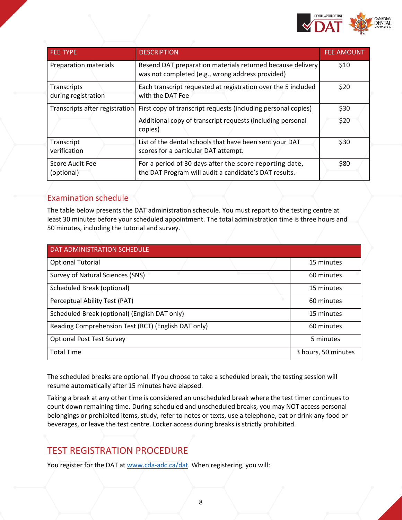

| <b>FEE TYPE</b>                      | <b>DESCRIPTION</b>                                                                                               | <b>FEE AMOUNT</b> |
|--------------------------------------|------------------------------------------------------------------------------------------------------------------|-------------------|
| Preparation materials                | Resend DAT preparation materials returned because delivery<br>was not completed (e.g., wrong address provided)   | \$10              |
| Transcripts<br>during registration   | Each transcript requested at registration over the 5 included<br>with the DAT Fee                                | \$20              |
| Transcripts after registration       | First copy of transcript requests (including personal copies)                                                    | \$30              |
|                                      | Additional copy of transcript requests (including personal<br>copies)                                            | \$20              |
| Transcript<br>verification           | List of the dental schools that have been sent your DAT<br>scores for a particular DAT attempt.                  | \$30              |
| <b>Score Audit Fee</b><br>(optional) | For a period of 30 days after the score reporting date,<br>the DAT Program will audit a candidate's DAT results. | \$80              |

## Examination schedule

The table below presents the DAT administration schedule. You must report to the testing centre at least 30 minutes before your scheduled appointment. The total administration time is three hours and 50 minutes, including the tutorial and survey.

| <b>DAT ADMINISTRATION SCHEDULE</b>                  |                     |
|-----------------------------------------------------|---------------------|
| <b>Optional Tutorial</b>                            | 15 minutes          |
| Survey of Natural Sciences (SNS)                    | 60 minutes          |
| <b>Scheduled Break (optional)</b>                   | 15 minutes          |
| Perceptual Ability Test (PAT)                       | 60 minutes          |
| Scheduled Break (optional) (English DAT only)       | 15 minutes          |
| Reading Comprehension Test (RCT) (English DAT only) | 60 minutes          |
| <b>Optional Post Test Survey</b>                    | 5 minutes           |
| <b>Total Time</b>                                   | 3 hours, 50 minutes |

The scheduled breaks are optional. If you choose to take a scheduled break, the testing session will resume automatically after 15 minutes have elapsed.

Taking a break at any other time is considered an unscheduled break where the test timer continues to count down remaining time. During scheduled and unscheduled breaks, you may NOT access personal belongings or prohibited items, study, refer to notes or texts, use a telephone, eat or drink any food or beverages, or leave the test centre. Locker access during breaks is strictly prohibited.

# <span id="page-10-0"></span>TEST REGISTRATION PROCEDURE

You register for the DAT a[t www.cda-adc.ca/dat.](http://www.cda-adc.ca/dat) When registering, you will: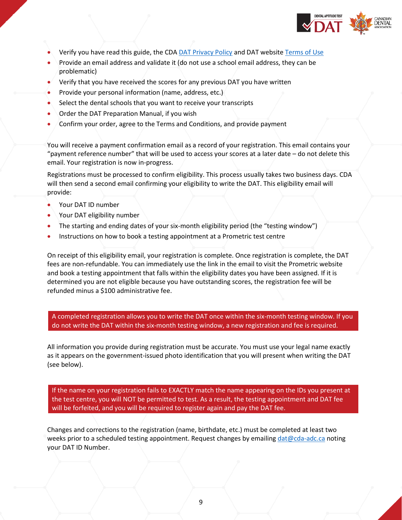

- Verify you have read this guide, the CD[A DAT Privacy Policy](https://www.cda-adc.ca/en/becoming/dat/important_notices/index.asp#policy) and DAT website [Terms of Use](https://www.cda-adc.ca/en/becoming/dat/important_notices/index.asp#terms)
- Provide an email address and validate it (do not use a school email address, they can be problematic)
- Verify that you have received the scores for any previous DAT you have written
- Provide your personal information (name, address, etc.)
- Select the dental schools that you want to receive your transcripts
- Order the DAT Preparation Manual, if you wish
- Confirm your order, agree to the Terms and Conditions, and provide payment

You will receive a payment confirmation email as a record of your registration. This email contains your "payment reference number" that will be used to access your scores at a later date – do not delete this email. Your registration is now in-progress.

Registrations must be processed to confirm eligibility. This process usually takes two business days. CDA will then send a second email confirming your eligibility to write the DAT. This eligibility email will provide:

- Your DAT ID number
- Your DAT eligibility number
- The starting and ending dates of your six-month eligibility period (the "testing window")
- Instructions on how to book a testing appointment at a Prometric test centre

On receipt of this eligibility email, your registration is complete. Once registration is complete, the DAT fees are non-refundable. You can immediately use the link in the email to visit the Prometric website and book a testing appointment that falls within the eligibility dates you have been assigned. If it is determined you are not eligible because you have outstanding scores, the registration fee will be refunded minus a \$100 administrative fee.

A completed registration allows you to write the DAT once within the six-month testing window. If you do not write the DAT within the six-month testing window, a new registration and fee is required.

All information you provide during registration must be accurate. You must use your legal name exactly as it appears on the government-issued photo identification that you will present when writing the DAT (see below).

If the name on your registration fails to EXACTLY match the name appearing on the IDs you present at the test centre, you will NOT be permitted to test. As a result, the testing appointment and DAT fee will be forfeited, and you will be required to register again and pay the DAT fee.

Changes and corrections to the registration (name, birthdate, etc.) must be completed at least two weeks prior to a scheduled testing appointment. Request changes by emailing  $data@cda-adc.ca$  noting your DAT ID Number.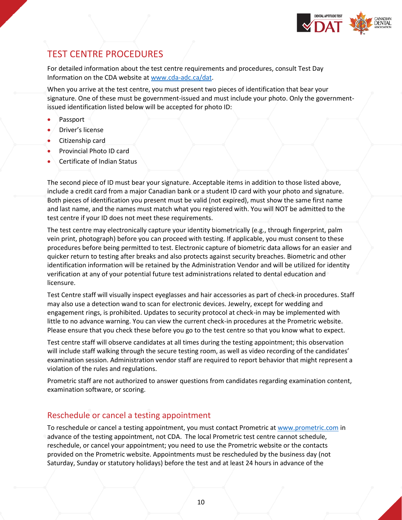

# <span id="page-12-0"></span>TEST CENTRE PROCEDURES

For detailed information about the test centre requirements and procedures, consult Test Day Information on the CDA website at [www.cda-adc.ca/dat.](http://www.cda-adc.ca/dat)

When you arrive at the test centre, you must present two pieces of identification that bear your signature. One of these must be government-issued and must include your photo. Only the governmentissued identification listed below will be accepted for photo ID:

- Passport
- Driver's license
- Citizenship card
- Provincial Photo ID card
- Certificate of Indian Status

The second piece of ID must bear your signature. Acceptable items in addition to those listed above, include a credit card from a major Canadian bank or a student ID card with your photo and signature. Both pieces of identification you present must be valid (not expired), must show the same first name and last name, and the names must match what you registered with. You will NOT be admitted to the test centre if your ID does not meet these requirements.

The test centre may electronically capture your identity biometrically (e.g., through fingerprint, palm vein print, photograph) before you can proceed with testing. If applicable, you must consent to these procedures before being permitted to test. Electronic capture of biometric data allows for an easier and quicker return to testing after breaks and also protects against security breaches. Biometric and other identification information will be retained by the Administration Vendor and will be utilized for identity verification at any of your potential future test administrations related to dental education and licensure.

Test Centre staff will visually inspect eyeglasses and hair accessories as part of check-in procedures. Staff may also use a detection wand to scan for electronic devices. Jewelry, except for wedding and engagement rings, is prohibited. Updates to security protocol at check-in may be implemented with little to no advance warning. You can view the current check-in procedures at the Prometric website. Please ensure that you check these before you go to the test centre so that you know what to expect.

Test centre staff will observe candidates at all times during the testing appointment; this observation will include staff walking through the secure testing room, as well as video recording of the candidates' examination session. Administration vendor staff are required to report behavior that might represent a violation of the rules and regulations.

Prometric staff are not authorized to answer questions from candidates regarding examination content, examination software, or scoring.

#### Reschedule or cancel a testing appointment

To reschedule or cancel a testing appointment, you must contact Prometric at [www.prometric.com](http://www.prometric.com/) in advance of the testing appointment, not CDA. The local Prometric test centre cannot schedule, reschedule, or cancel your appointment; you need to use the Prometric website or the contacts provided on the Prometric website. Appointments must be rescheduled by the business day (not Saturday, Sunday or statutory holidays) before the test and at least 24 hours in advance of the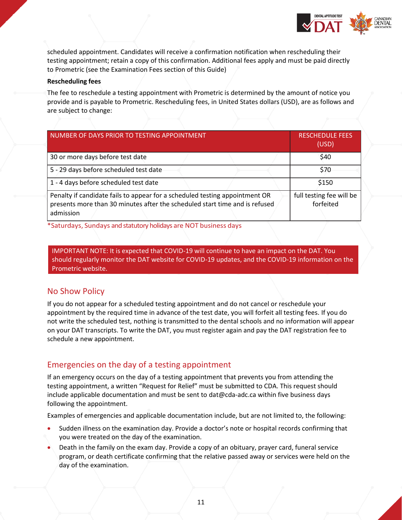

scheduled appointment. Candidates will receive a confirmation notification when rescheduling their testing appointment; retain a copy of this confirmation. Additional fees apply and must be paid directly to Prometric (see the Examination Fees section of this Guide)

#### **Rescheduling fees**

The fee to reschedule a testing appointment with Prometric is determined by the amount of notice you provide and is payable to Prometric. Rescheduling fees, in United States dollars (USD), are as follows and are subject to change:

| NUMBER OF DAYS PRIOR TO TESTING APPOINTMENT                                                                                                                             | <b>RESCHEDULE FEES</b><br>(USD)       |
|-------------------------------------------------------------------------------------------------------------------------------------------------------------------------|---------------------------------------|
| 30 or more days before test date                                                                                                                                        | \$40                                  |
| 5 - 29 days before scheduled test date                                                                                                                                  | \$70                                  |
| 1 - 4 days before scheduled test date                                                                                                                                   | \$150                                 |
| Penalty if candidate fails to appear for a scheduled testing appointment OR<br>presents more than 30 minutes after the scheduled start time and is refused<br>admission | full testing fee will be<br>forfeited |

\*Saturdays, Sundays and statutory holidays are NOT business days

IMPORTANT NOTE: It is expected that COVID-19 will continue to have an impact on the DAT. You should regularly monitor the DAT website for COVID-19 updates, and the COVID-19 information on the Prometric website.

## No Show Policy

If you do not appear for a scheduled testing appointment and do not cancel or reschedule your appointment by the required time in advance of the test date, you will forfeit all testing fees. If you do not write the scheduled test, nothing is transmitted to the dental schools and no information will appear on your DAT transcripts. To write the DAT, you must register again and pay the DAT registration fee to schedule a new appointment.

## Emergencies on the day of a testing appointment

If an emergency occurs on the day of a testing appointment that prevents you from attending the testing appointment, a written "Request for Relief" must be submitted to CDA. This request should include applicable documentation and must be sent to [dat@cda-adc.ca w](mailto:testingproblems@ada.org)ithin five business days following the appointment.

Examples of emergencies and applicable documentation include, but are not limited to, the following:

- Sudden illness on the examination day. Provide a doctor's note or hospital records confirming that you were treated on the day of the examination.
- Death in the family on the exam day. Provide a copy of an obituary, prayer card, funeral service program, or death certificate confirming that the relative passed away or services were held on the day of the examination.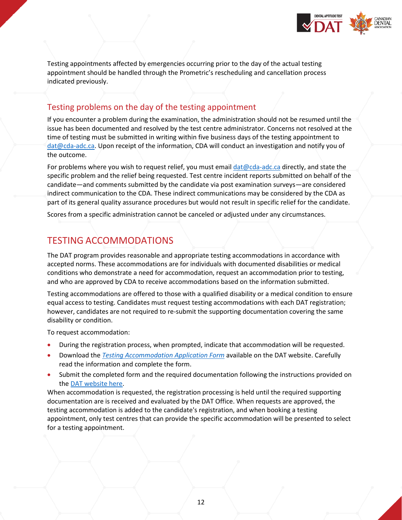

Testing appointments affected by emergencies occurring prior to the day of the actual testing appointment should be handled through the Prometric's rescheduling and cancellation process indicated previously.

### Testing problems on the day of the testing appointment

If you encounter a problem during the examination, the administration should not be resumed until the issue has been documented and resolved by the test centre administrator. Concerns not resolved at the time of testing must be submitted in writing within five business days of the testing appointment to [dat@cda-adc.ca.](mailto:dat@cda-adc.ca) Upon receipt of the information, CDA will conduct an investigation and notify you of the outcome.

For problems where you wish to request relief, you must email [dat@cda-adc.ca](mailto:dat@cda-adc.ca) directly, and state the specific problem and the relief being requested. Test centre incident reports submitted on behalf of the candidate—and comments submitted by the candidate via post examination surveys—are considered indirect communication to the CDA. These indirect communications may be considered by the CDA as part of its general quality assurance procedures but would not result in specific relief for the candidate.

Scores from a specific administration cannot be canceled or adjusted under any circumstances.

# <span id="page-14-0"></span>TESTING ACCOMMODATIONS

The DAT program provides reasonable and appropriate testing accommodations in accordance with accepted norms. These accommodations are for individuals with documented disabilities or medical conditions who demonstrate a need for accommodation, request an accommodation prior to testing, and who are approved by CDA to receive accommodations based on the information submitted.

Testing accommodations are offered to those with a qualified disability or a medical condition to ensure equal access to testing. Candidates must request testing accommodations with each DAT registration; however, candidates are not required to re-submit the supporting documentation covering the same disability or condition.

To request accommodation:

- During the registration process, when prompted, indicate that accommodation will be requested.
- Download the *[Testing Accommodation Application Form](https://www.cda-adc.ca/_files/becoming/dat/documents/DAT_Testing_Accommodation_Form.pdf)* available on the DAT website. Carefully read the information and complete the form.
- Submit the completed form and the required documentation following the instructions provided on th[e DAT website here.](http://www.cda-adc.ca/en/becoming/dat/information/default.asp#accommodation)

When accommodation is requested, the registration processing is held until the required supporting documentation are is received and evaluated by the DAT Office. When requests are approved, the testing accommodation is added to the candidate's registration, and when booking a testing appointment, only test centres that can provide the specific accommodation will be presented to select for a testing appointment.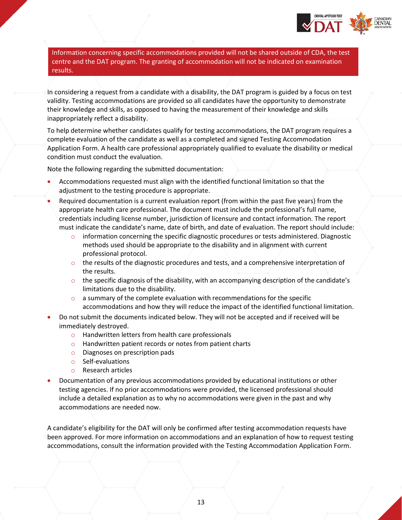

Information concerning specific accommodations provided will not be shared outside of CDA, the test centre and the DAT program. The granting of accommodation will not be indicated on examination results.

In considering a request from a candidate with a disability, the DAT program is guided by a focus on test validity. Testing accommodations are provided so all candidates have the opportunity to demonstrate their knowledge and skills, as opposed to having the measurement of their knowledge and skills inappropriately reflect a disability.

To help determine whether candidates qualify for testing accommodations, the DAT program requires a complete evaluation of the candidate as well as a completed and signed Testing Accommodation Application Form. A health care professional appropriately qualified to evaluate the disability or medical condition must conduct the evaluation.

Note the following regarding the submitted documentation:

- Accommodations requested must align with the identified functional limitation so that the adjustment to the testing procedure is appropriate.
- Required documentation is a current evaluation report (from within the past five years) from the appropriate health care professional. The document must include the professional's full name, credentials including license number, jurisdiction of licensure and contact information. The report must indicate the candidate's name, date of birth, and date of evaluation. The report should include:
	- $\circ$  information concerning the specific diagnostic procedures or tests administered. Diagnostic methods used should be appropriate to the disability and in alignment with current professional protocol.
	- $\circ$  the results of the diagnostic procedures and tests, and a comprehensive interpretation of the results.
	- $\circ$  the specific diagnosis of the disability, with an accompanying description of the candidate's limitations due to the disability.
	- $\circ$  a summary of the complete evaluation with recommendations for the specific accommodations and how they will reduce the impact of the identified functional limitation.
- Do not submit the documents indicated below. They will not be accepted and if received will be immediately destroyed.
	- o Handwritten letters from health care professionals
	- o Handwritten patient records or notes from patient charts
	- o Diagnoses on prescription pads
	- o Self-evaluations
	- o Research articles
- Documentation of any previous accommodations provided by educational institutions or other testing agencies. If no prior accommodations were provided, the licensed professional should include a detailed explanation as to why no accommodations were given in the past and why accommodations are needed now.

A candidate's eligibility for the DAT will only be confirmed after testing accommodation requests have been approved. For more information on accommodations and an explanation of how to request testing accommodations, consult the information provided with the Testing Accommodation Application Form.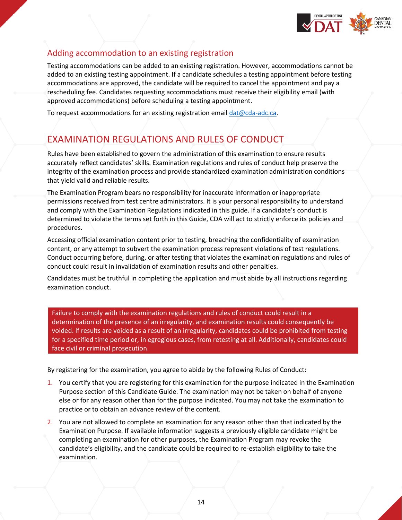

# Adding accommodation to an existing registration

Testing accommodations can be added to an existing registration. However, accommodations cannot be added to an existing testing appointment. If a candidate schedules a testing appointment before testing accommodations are approved, the candidate will be required to cancel the appointment and pay a rescheduling fee. Candidates requesting accommodations must receive their eligibility email (with approved accommodations) before scheduling a testing appointment.

To request accommodations for an existing registration email [dat@cda-adc.ca.](mailto:dat@cda-adc.ca)

# <span id="page-16-0"></span>EXAMINATION REGULATIONS AND RULES OF CONDUCT

Rules have been established to govern the administration of this examination to ensure results accurately reflect candidates' skills. Examination regulations and rules of conduct help preserve the integrity of the examination process and provide standardized examination administration conditions that yield valid and reliable results.

The Examination Program bears no responsibility for inaccurate information or inappropriate permissions received from test centre administrators. It is your personal responsibility to understand and comply with the Examination Regulations indicated in this guide. If a candidate's conduct is determined to violate the terms set forth in this Guide, CDA will act to strictly enforce its policies and procedures.

Accessing official examination content prior to testing, breaching the confidentiality of examination content, or any attempt to subvert the examination process represent violations of test regulations. Conduct occurring before, during, or after testing that violates the examination regulations and rules of conduct could result in invalidation of examination results and other penalties.

Candidates must be truthful in completing the application and must abide by all instructions regarding examination conduct.

Failure to comply with the examination regulations and rules of conduct could result in a determination of the presence of an irregularity, and examination results could consequently be voided. If results are voided as a result of an irregularity, candidates could be prohibited from testing for a specified time period or, in egregious cases, from retesting at all. Additionally, candidates could face civil or criminal prosecution.

By registering for the examination, you agree to abide by the following Rules of Conduct:

- 1. You certify that you are registering for this examination for the purpose indicated in the Examination Purpose section of this Candidate Guide. The examination may not be taken on behalf of anyone else or for any reason other than for the purpose indicated. You may not take the examination to practice or to obtain an advance review of the content.
- 2. You are not allowed to complete an examination for any reason other than that indicated by the Examination Purpose. If available information suggests a previously eligible candidate might be completing an examination for other purposes, the Examination Program may revoke the candidate's eligibility, and the candidate could be required to re-establish eligibility to take the examination.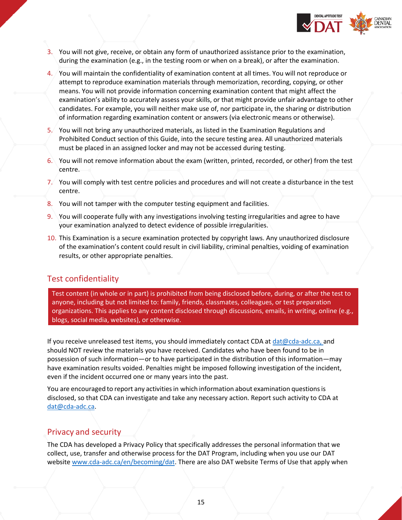

- 3. You will not give, receive, or obtain any form of unauthorized assistance prior to the examination, during the examination (e.g., in the testing room or when on a break), or after the examination.
- 4. You will maintain the confidentiality of examination content at all times. You will not reproduce or attempt to reproduce examination materials through memorization, recording, copying, or other means. You will not provide information concerning examination content that might affect the examination's ability to accurately assess your skills, or that might provide unfair advantage to other candidates. For example, you will neither make use of, nor participate in, the sharing or distribution of information regarding examination content or answers (via electronic means or otherwise).
- 5. You will not bring any unauthorized materials, as listed in the Examination Regulations and Prohibited Conduct section of this Guide, into the secure testing area. All unauthorized materials must be placed in an assigned locker and may not be accessed during testing.
- 6. You will not remove information about the exam (written, printed, recorded, or other) from the test centre.
- 7. You will comply with test centre policies and procedures and will not create a disturbance in the test centre.
- 8. You will not tamper with the computer testing equipment and facilities.
- 9. You will cooperate fully with any investigations involving testing irregularities and agree to have your examination analyzed to detect evidence of possible irregularities.
- 10. This Examination is a secure examination protected by copyright laws. Any unauthorized disclosure of the examination's content could result in civil liability, criminal penalties, voiding of examination results, or other appropriate penalties.

#### Test confidentiality

Test content (in whole or in part) is prohibited from being disclosed before, during, or after the test to anyone, including but not limited to: family, friends, classmates, colleagues, or test preparation organizations. This applies to any content disclosed through discussions, emails, in writing, online (e.g., blogs, social media, websites), or otherwise.

If you receive unreleased test items, you should immediately contact CDA at [dat@cda-adc.ca, a](mailto:dat@cda-adc.ca,)nd should NOT review the materials you have received. Candidates who have been found to be in possession of such information—or to have participated in the distribution of this information—may have examination results voided. Penalties might be imposed following investigation of the incident, even if the incident occurred one or many years into the past.

You are encouraged to report any activities in which information about examination questions is disclosed, so that CDA can investigate and take any necessary action. Report such activity to CDA at [dat@cda-adc.ca.](mailto:dat@cda-adc.ca)

#### Privacy and security

The CDA has developed a Privacy Policy that specifically addresses the personal information that we collect, use, transfer and otherwise process for the DAT Program, including when you use our DAT websit[e www.cda-adc.ca/en/becoming/dat.](http://www.cda-adc.ca/en/becoming/index.asp) There are also DAT website Terms of Use that apply when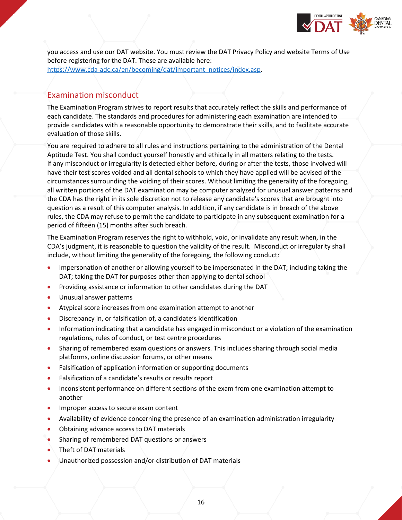

you access and use our DAT website. You must review the DAT Privacy Policy and website Terms of Use before registering for the DAT. These are available here: [https://www.cda-adc.ca/en/becoming/dat/important\\_notices/index.asp.](https://www.cda-adc.ca/en/becoming/dat/important_notices/index.asp)

# Examination misconduct

The Examination Program strives to report results that accurately reflect the skills and performance of each candidate. The standards and procedures for administering each examination are intended to provide candidates with a reasonable opportunity to demonstrate their skills, and to facilitate accurate evaluation of those skills.

You are required to adhere to all rules and instructions pertaining to the administration of the Dental Aptitude Test. You shall conduct yourself honestly and ethically in all matters relating to the tests. If any misconduct or irregularity is detected either before, during or after the tests, those involved will have their test scores voided and all dental schools to which they have applied will be advised of the circumstances surrounding the voiding of their scores. Without limiting the generality of the foregoing, all written portions of the DAT examination may be computer analyzed for unusual answer patterns and the CDA has the right in its sole discretion not to release any candidate's scores that are brought into question as a result of this computer analysis. In addition, if any candidate is in breach of the above rules, the CDA may refuse to permit the candidate to participate in any subsequent examination for a period of fifteen (15) months after such breach.

The Examination Program reserves the right to withhold, void, or invalidate any result when, in the CDA's judgment, it is reasonable to question the validity of the result. Misconduct or irregularity shall include, without limiting the generality of the foregoing, the following conduct:

- Impersonation of another or allowing yourself to be impersonated in the DAT; including taking the DAT; taking the DAT for purposes other than applying to dental school
- Providing assistance or information to other candidates during the DAT
- Unusual answer patterns
- Atypical score increases from one examination attempt to another
- Discrepancy in, or falsification of, a candidate's identification
- Information indicating that a candidate has engaged in misconduct or a violation of the examination regulations, rules of conduct, or test centre procedures
- Sharing of remembered exam questions or answers. This includes sharing through social media platforms, online discussion forums, or other means
- Falsification of application information or supporting documents
- Falsification of a candidate's results or results report
- Inconsistent performance on different sections of the exam from one examination attempt to another
- Improper access to secure exam content
- Availability of evidence concerning the presence of an examination administration irregularity
- Obtaining advance access to DAT materials
- Sharing of remembered DAT questions or answers
- Theft of DAT materials
- Unauthorized possession and/or distribution of DAT materials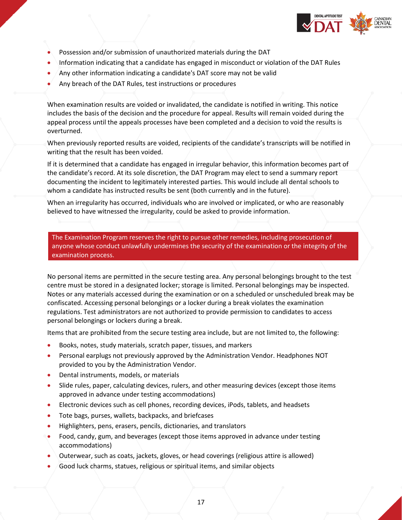

- Possession and/or submission of unauthorized materials during the DAT
- Information indicating that a candidate has engaged in misconduct or violation of the DAT Rules
- Any other information indicating a candidate's DAT score may not be valid
- Any breach of the DAT Rules, test instructions or procedures

When examination results are voided or invalidated, the candidate is notified in writing. This notice includes the basis of the decision and the procedure for appeal. Results will remain voided during the appeal process until the appeals processes have been completed and a decision to void the results is overturned.

When previously reported results are voided, recipients of the candidate's transcripts will be notified in writing that the result has been voided.

If it is determined that a candidate has engaged in irregular behavior, this information becomes part of the candidate's record. At its sole discretion, the DAT Program may elect to send a summary report documenting the incident to legitimately interested parties. This would include all dental schools to whom a candidate has instructed results be sent (both currently and in the future).

When an irregularity has occurred, individuals who are involved or implicated, or who are reasonably believed to have witnessed the irregularity, could be asked to provide information.

The Examination Program reserves the right to pursue other remedies, including prosecution of anyone whose conduct unlawfully undermines the security of the examination or the integrity of the examination process.

No personal items are permitted in the secure testing area. Any personal belongings brought to the test centre must be stored in a designated locker; storage is limited. Personal belongings may be inspected. Notes or any materials accessed during the examination or on a scheduled or unscheduled break may be confiscated. Accessing personal belongings or a locker during a break violates the examination regulations. Test administrators are not authorized to provide permission to candidates to access personal belongings or lockers during a break.

Items that are prohibited from the secure testing area include, but are not limited to, the following:

- Books, notes, study materials, scratch paper, tissues, and markers
- Personal earplugs not previously approved by the Administration Vendor. Headphones NOT provided to you by the Administration Vendor.
- Dental instruments, models, or materials
- Slide rules, paper, calculating devices, rulers, and other measuring devices (except those items approved in advance under testing accommodations)
- Electronic devices such as cell phones, recording devices, iPods, tablets, and headsets
- Tote bags, purses, wallets, backpacks, and briefcases
- Highlighters, pens, erasers, pencils, dictionaries, and translators
- Food, candy, gum, and beverages (except those items approved in advance under testing accommodations)
- Outerwear, such as coats, jackets, gloves, or head coverings (religious attire is allowed)
- Good luck charms, statues, religious or spiritual items, and similar objects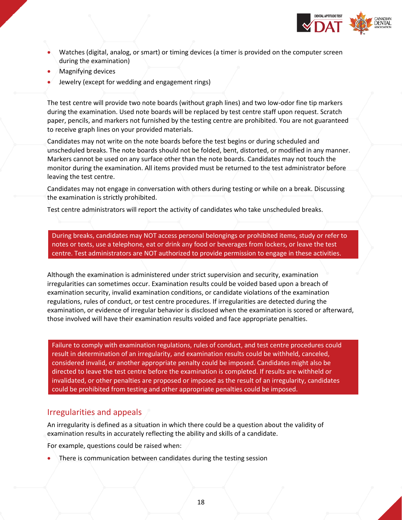

- Watches (digital, analog, or smart) or timing devices (a timer is provided on the computer screen during the examination)
- Magnifying devices
- Jewelry (except for wedding and engagement rings)

The test centre will provide two note boards (without graph lines) and two low-odor fine tip markers during the examination. Used note boards will be replaced by test centre staff upon request. Scratch paper, pencils, and markers not furnished by the testing centre are prohibited. You are not guaranteed to receive graph lines on your provided materials.

Candidates may not write on the note boards before the test begins or during scheduled and unscheduled breaks. The note boards should not be folded, bent, distorted, or modified in any manner. Markers cannot be used on any surface other than the note boards. Candidates may not touch the monitor during the examination. All items provided must be returned to the test administrator before leaving the test centre.

Candidates may not engage in conversation with others during testing or while on a break. Discussing the examination is strictly prohibited.

Test centre administrators will report the activity of candidates who take unscheduled breaks.

During breaks, candidates may NOT access personal belongings or prohibited items, study or refer to notes or texts, use a telephone, eat or drink any food or beverages from lockers, or leave the test centre. Test administrators are NOT authorized to provide permission to engage in these activities.

Although the examination is administered under strict supervision and security, examination irregularities can sometimes occur. Examination results could be voided based upon a breach of examination security, invalid examination conditions, or candidate violations of the examination regulations, rules of conduct, or test centre procedures. If irregularities are detected during the examination, or evidence of irregular behavior is disclosed when the examination is scored or afterward, those involved will have their examination results voided and face appropriate penalties.

Failure to comply with examination regulations, rules of conduct, and test centre procedures could result in determination of an irregularity, and examination results could be withheld, canceled, considered invalid, or another appropriate penalty could be imposed. Candidates might also be directed to leave the test centre before the examination is completed. If results are withheld or invalidated, or other penalties are proposed or imposed as the result of an irregularity, candidates could be prohibited from testing and other appropriate penalties could be imposed.

#### Irregularities and appeals

An irregularity is defined as a situation in which there could be a question about the validity of examination results in accurately reflecting the ability and skills of a candidate.

For example, questions could be raised when:

There is communication between candidates during the testing session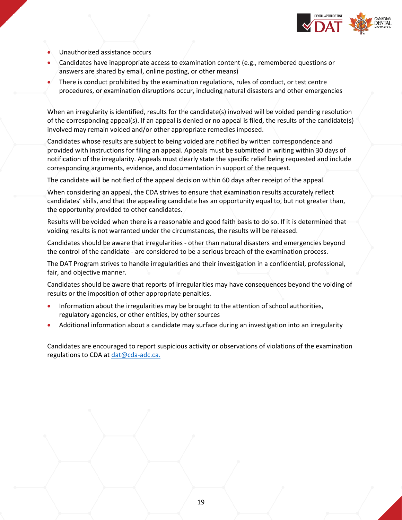

- Unauthorized assistance occurs
- Candidates have inappropriate access to examination content (e.g., remembered questions or answers are shared by email, online posting, or other means)
- There is conduct prohibited by the examination regulations, rules of conduct, or test centre procedures, or examination disruptions occur, including natural disasters and other emergencies

When an irregularity is identified, results for the candidate(s) involved will be voided pending resolution of the corresponding appeal(s). If an appeal is denied or no appeal is filed, the results of the candidate(s) involved may remain voided and/or other appropriate remedies imposed.

Candidates whose results are subject to being voided are notified by written correspondence and provided with instructions for filing an appeal. Appeals must be submitted in writing within 30 days of notification of the irregularity. Appeals must clearly state the specific relief being requested and include corresponding arguments, evidence, and documentation in support of the request.

The candidate will be notified of the appeal decision within 60 days after receipt of the appeal.

When considering an appeal, the CDA strives to ensure that examination results accurately reflect candidates' skills, and that the appealing candidate has an opportunity equal to, but not greater than, the opportunity provided to other candidates.

Results will be voided when there is a reasonable and good faith basis to do so. If it is determined that voiding results is not warranted under the circumstances, the results will be released.

Candidates should be aware that irregularities - other than natural disasters and emergencies beyond the control of the candidate - are considered to be a serious breach of the examination process.

The DAT Program strives to handle irregularities and their investigation in a confidential, professional, fair, and objective manner.

Candidates should be aware that reports of irregularities may have consequences beyond the voiding of results or the imposition of other appropriate penalties.

- Information about the irregularities may be brought to the attention of school authorities, regulatory agencies, or other entities, by other sources
- Additional information about a candidate may surface during an investigation into an irregularity

Candidates are encouraged to report suspicious activity or observations of violations of the examination regulations to CDA a[t dat@cda-adc.ca.](mailto:dat@cda-adc.ca.)